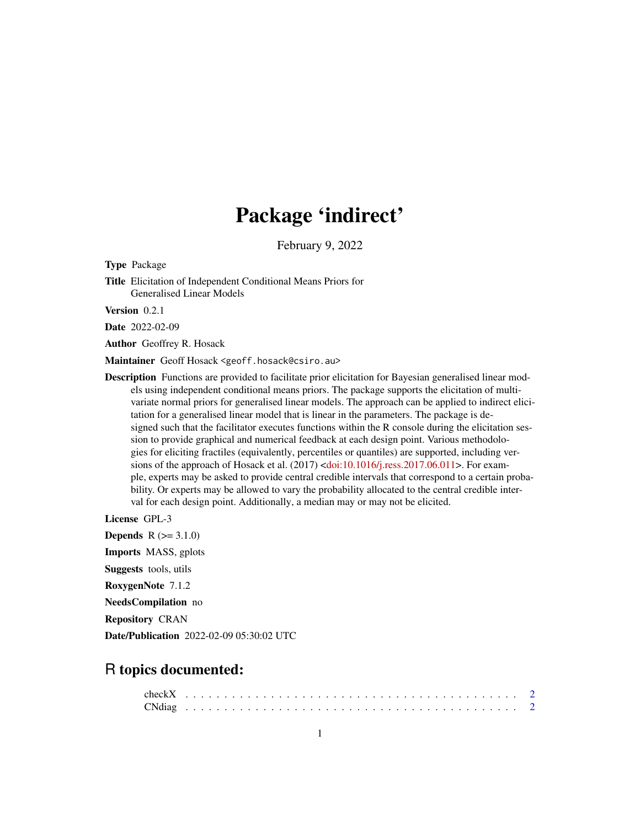## Package 'indirect'

February 9, 2022

<span id="page-0-0"></span>Type Package

Title Elicitation of Independent Conditional Means Priors for Generalised Linear Models

Version 0.2.1

Date 2022-02-09

Author Geoffrey R. Hosack

Maintainer Geoff Hosack <geoff.hosack@csiro.au>

Description Functions are provided to facilitate prior elicitation for Bayesian generalised linear models using independent conditional means priors. The package supports the elicitation of multivariate normal priors for generalised linear models. The approach can be applied to indirect elicitation for a generalised linear model that is linear in the parameters. The package is designed such that the facilitator executes functions within the R console during the elicitation session to provide graphical and numerical feedback at each design point. Various methodologies for eliciting fractiles (equivalently, percentiles or quantiles) are supported, including ver-sions of the approach of Hosack et al. (2017) [<doi:10.1016/j.ress.2017.06.011>](https://doi.org/10.1016/j.ress.2017.06.011). For example, experts may be asked to provide central credible intervals that correspond to a certain probability. Or experts may be allowed to vary the probability allocated to the central credible interval for each design point. Additionally, a median may or may not be elicited.

License GPL-3

**Depends**  $R (= 3.1.0)$ 

Imports MASS, gplots

Suggests tools, utils

RoxygenNote 7.1.2

NeedsCompilation no

Repository CRAN

Date/Publication 2022-02-09 05:30:02 UTC

## R topics documented: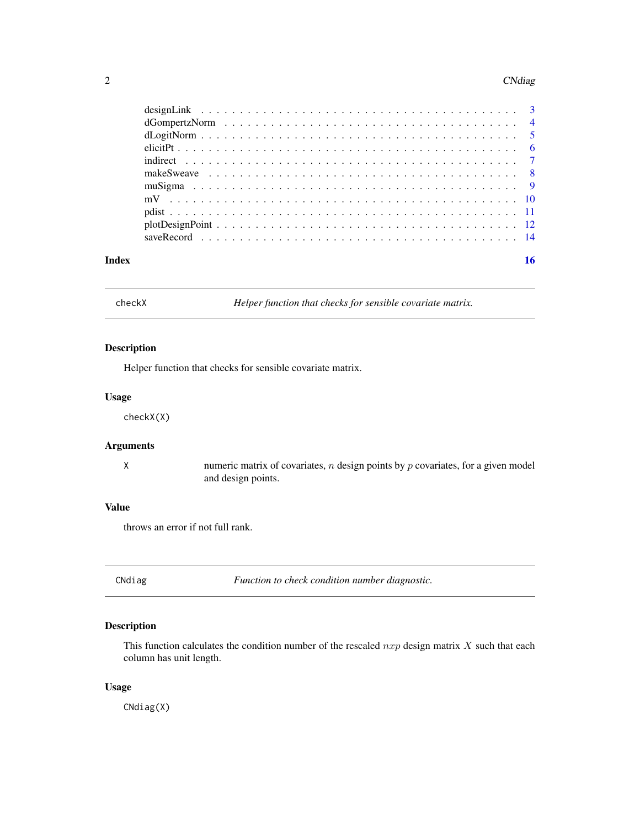#### <span id="page-1-0"></span>2 CNdiag

| Index |  |
|-------|--|

checkX *Helper function that checks for sensible covariate matrix.*

#### Description

Helper function that checks for sensible covariate matrix.

#### Usage

checkX(X)

#### Arguments

X numeric matrix of covariates,  $n$  design points by  $p$  covariates, for a given model and design points.

#### Value

throws an error if not full rank.

| CNdia |  |
|-------|--|
|       |  |
|       |  |
|       |  |

g **Function to check condition number diagnostic.** 

#### Description

This function calculates the condition number of the rescaled  $nxp$  design matrix X such that each column has unit length.

#### Usage

CNdiag(X)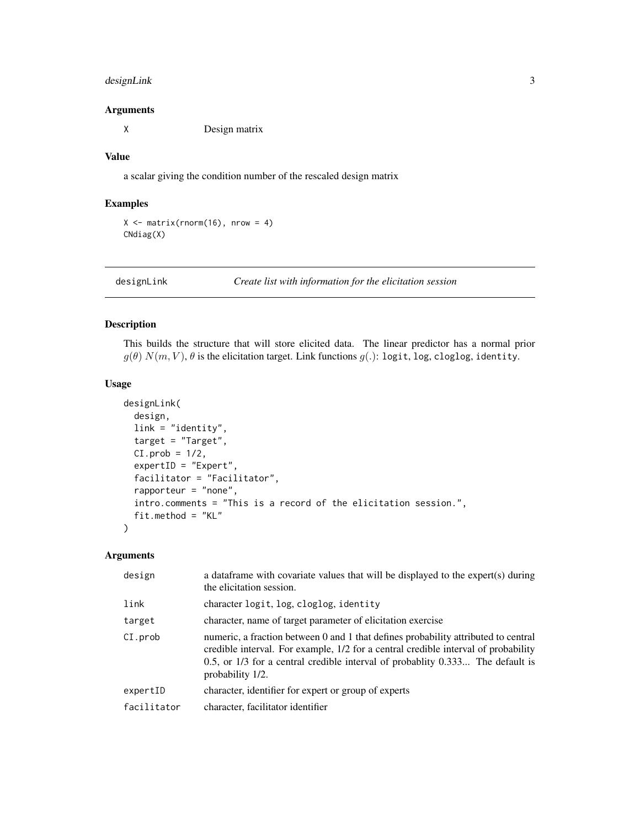#### <span id="page-2-0"></span>designLink 3

#### Arguments

X Design matrix

#### Value

a scalar giving the condition number of the rescaled design matrix

#### Examples

 $X \leq -$  matrix(rnorm(16), nrow = 4) CNdiag(X)

<span id="page-2-1"></span>designLink *Create list with information for the elicitation session*

#### Description

This builds the structure that will store elicited data. The linear predictor has a normal prior  $g(\theta)$   $N(m, V)$ ,  $\theta$  is the elicitation target. Link functions  $g(.)$ : logit, log, cloglog, identity.

#### Usage

```
designLink(
  design,
  link = "identity",
  target = "Target",
  CI.prob = 1/2,expertID = "Expert",
  facilitator = "Facilitator",
  rapporteur = "none",
  intro.comments = "This is a record of the elicitation session.",
  fit.method = "KL"
)
```
#### Arguments

| design      | a data frame with covariate values that will be displayed to the expert(s) during<br>the elicitation session.                                                                                                                                                                     |
|-------------|-----------------------------------------------------------------------------------------------------------------------------------------------------------------------------------------------------------------------------------------------------------------------------------|
| link        | character logit, log, cloglog, identity                                                                                                                                                                                                                                           |
| target      | character, name of target parameter of elicitation exercise                                                                                                                                                                                                                       |
| CI.prob     | numeric, a fraction between 0 and 1 that defines probability attributed to central<br>credible interval. For example, 1/2 for a central credible interval of probability<br>0.5, or 1/3 for a central credible interval of probability $0.333$ The default is<br>probability 1/2. |
| expertID    | character, identifier for expert or group of experts                                                                                                                                                                                                                              |
| facilitator | character, facilitator identifier                                                                                                                                                                                                                                                 |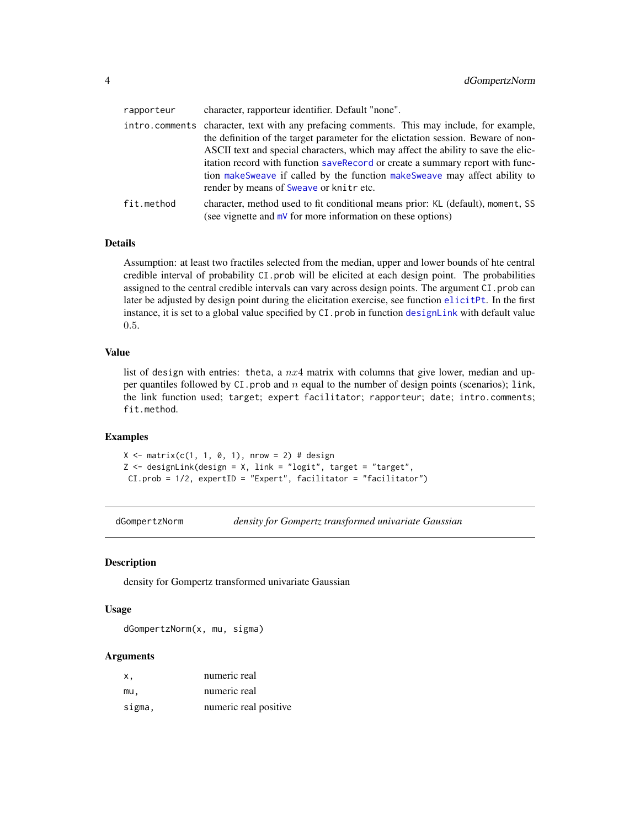<span id="page-3-0"></span>

| rapporteur | character, rapporteur identifier. Default "none".                                                                                                                                                                                                                                                                                                                                                                                                                                 |
|------------|-----------------------------------------------------------------------------------------------------------------------------------------------------------------------------------------------------------------------------------------------------------------------------------------------------------------------------------------------------------------------------------------------------------------------------------------------------------------------------------|
|            | intro. comments character, text with any prefacing comments. This may include, for example,<br>the definition of the target parameter for the elictation session. Beware of non-<br>ASCII text and special characters, which may affect the ability to save the elic-<br>itation record with function saveRecord or create a summary report with func-<br>tion make Sweave if called by the function make Sweave may affect ability to<br>render by means of Sweave or knitr etc. |
| fit.method | character, method used to fit conditional means prior: KL (default), moment, SS<br>(see vignette and $mV$ for more information on these options)                                                                                                                                                                                                                                                                                                                                  |

#### Details

Assumption: at least two fractiles selected from the median, upper and lower bounds of hte central credible interval of probability CI.prob will be elicited at each design point. The probabilities assigned to the central credible intervals can vary across design points. The argument CI.prob can later be adjusted by design point during the elicitation exercise, see function [elicitPt](#page-5-1). In the first instance, it is set to a global value specified by CI.prob in function [designLink](#page-2-1) with default value 0.5.

#### Value

list of design with entries: theta, a  $nx4$  matrix with columns that give lower, median and upper quantiles followed by  $CI$ . prob and  $n$  equal to the number of design points (scenarios); link, the link function used; target; expert facilitator; rapporteur; date; intro.comments; fit.method.

#### Examples

 $X \le -$  matrix(c(1, 1, 0, 1), nrow = 2) # design  $Z \leq -$  designLink(design = X, link = "logit", target = "target", CI.prob = 1/2, expertID = "Expert", facilitator = "facilitator")

dGompertzNorm *density for Gompertz transformed univariate Gaussian*

#### Description

density for Gompertz transformed univariate Gaussian

#### Usage

dGompertzNorm(x, mu, sigma)

#### Arguments

| х.     | numeric real          |
|--------|-----------------------|
| mu.    | numeric real          |
| sigma, | numeric real positive |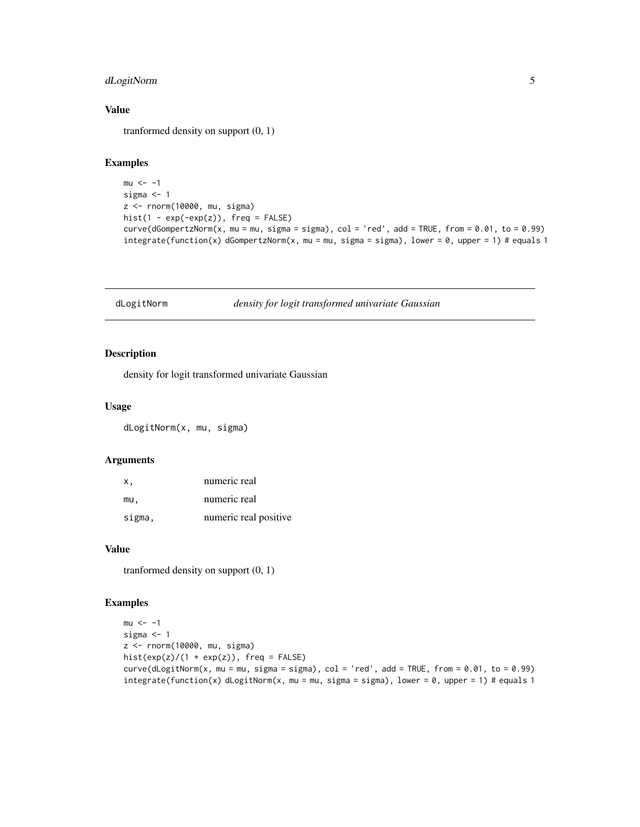#### <span id="page-4-0"></span>dLogitNorm 5

#### Value

tranformed density on support (0, 1)

#### Examples

```
mu < -1sigma <- 1
z <- rnorm(10000, mu, sigma)
hist(1 - \exp(-\exp(z)), freq = FALSE)
curve(dGompertzNorm(x, mu = mu, sigma = sigma), col = 'red', add = TRUE, from = 0.01, to = 0.99)integerate(function(x) dGompertzNorm(x, mu = mu, sigma = sigma), lower = 0, upper = 1) # equals 1
```
dLogitNorm *density for logit transformed univariate Gaussian*

#### Description

density for logit transformed univariate Gaussian

#### Usage

dLogitNorm(x, mu, sigma)

#### Arguments

| х.     | numeric real          |
|--------|-----------------------|
| mu.    | numeric real          |
| sigma, | numeric real positive |

#### Value

tranformed density on support (0, 1)

```
mu < -1sigma <-1z <- rnorm(10000, mu, sigma)
hist(exp(z)/(1 + exp(z)), freq = FALSE)curve(dLogitNorm(x, mu = mu, sigma = sigma), col = 'red', add = TRUE, from = 0.01, to = 0.99)integral integrate(function(x) dLogitNorm(x, mu = mu, sigma = sigma), lower = 0, upper = 1) # equals 1
```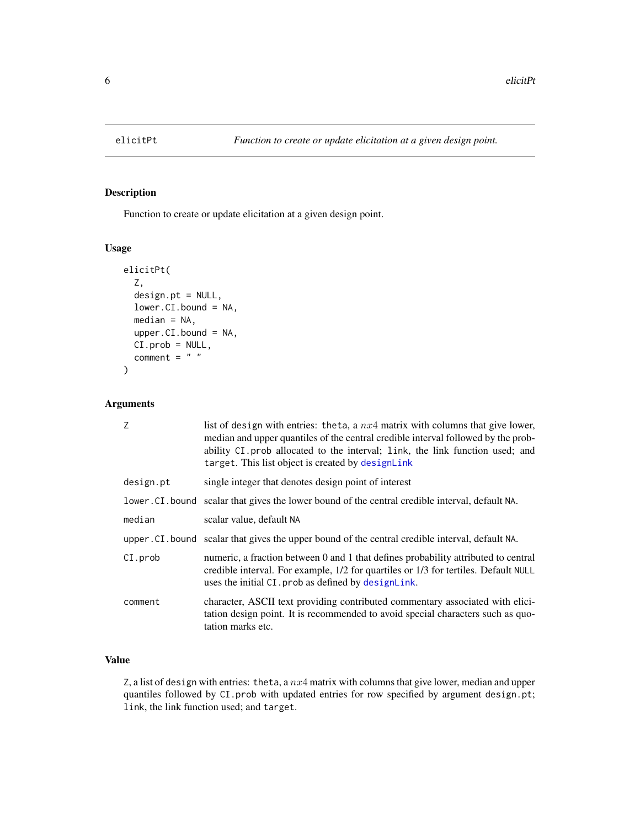<span id="page-5-1"></span><span id="page-5-0"></span>

Function to create or update elicitation at a given design point.

#### Usage

```
elicitPt(
  Z,
  design.pt = NULL,
  lower.CI.bound = NA,
 median = NA,
  upper.CI.bound = NA,
 CI.prob = NULL,
  comment = " ")
```
#### Arguments

| Z         | list of design with entries: theta, a $nx4$ matrix with columns that give lower,<br>median and upper quantiles of the central credible interval followed by the prob-<br>ability CI. prob allocated to the interval; link, the link function used; and<br>target. This list object is created by designLink |
|-----------|-------------------------------------------------------------------------------------------------------------------------------------------------------------------------------------------------------------------------------------------------------------------------------------------------------------|
| design.pt | single integer that denotes design point of interest                                                                                                                                                                                                                                                        |
|           | lower. CI bound scalar that gives the lower bound of the central credible interval, default NA.                                                                                                                                                                                                             |
| median    | scalar value, default NA                                                                                                                                                                                                                                                                                    |
|           | upper. CI. bound scalar that gives the upper bound of the central credible interval, default NA.                                                                                                                                                                                                            |
| CI.prob   | numeric, a fraction between 0 and 1 that defines probability attributed to central<br>credible interval. For example, 1/2 for quartiles or 1/3 for tertiles. Default NULL<br>uses the initial CI. prob as defined by designLink.                                                                            |
| comment   | character, ASCII text providing contributed commentary associated with elici-<br>tation design point. It is recommended to avoid special characters such as quo-<br>tation marks etc.                                                                                                                       |

#### Value

Z, a list of design with entries: theta, a  $nx4$  matrix with columns that give lower, median and upper quantiles followed by CI.prob with updated entries for row specified by argument design.pt; link, the link function used; and target.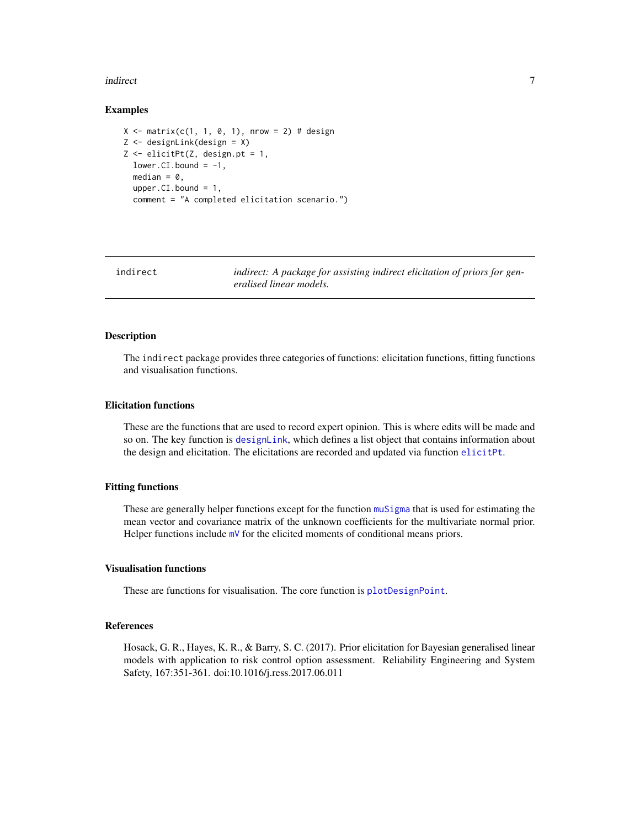#### <span id="page-6-0"></span>indirect 7 and 7 and 7 and 7 and 7 and 7 and 7 and 7 and 7 and 7 and 7 and 7 and 7 and 7 and 7 and 7 and 7 and 7 and 7 and 7 and 7 and 7 and 7 and 7 and 7 and 7 and 7 and 7 and 7 and 7 and 7 and 7 and 7 and 7 and 7 and 7 a

#### Examples

```
X \leftarrow matrix(c(1, 1, 0, 1), nrow = 2) # design
Z <- designLink(design = X)
Z \leftarrow elicitPt(Z, design.pt = 1,
  lower.CI.bound = -1,median = 0,
  upper.CI.bound = 1,
  comment = "A completed elicitation scenario.")
```
indirect *indirect: A package for assisting indirect elicitation of priors for generalised linear models.*

#### Description

The indirect package provides three categories of functions: elicitation functions, fitting functions and visualisation functions.

#### Elicitation functions

These are the functions that are used to record expert opinion. This is where edits will be made and so on. The key function is [designLink](#page-2-1), which defines a list object that contains information about the design and elicitation. The elicitations are recorded and updated via function [elicitPt](#page-5-1).

#### Fitting functions

These are generally helper functions except for the function [muSigma](#page-8-1) that is used for estimating the mean vector and covariance matrix of the unknown coefficients for the multivariate normal prior. Helper functions include  $mV$  for the elicited moments of conditional means priors.

#### Visualisation functions

These are functions for visualisation. The core function is [plotDesignPoint](#page-11-1).

#### References

Hosack, G. R., Hayes, K. R., & Barry, S. C. (2017). Prior elicitation for Bayesian generalised linear models with application to risk control option assessment. Reliability Engineering and System Safety, 167:351-361. doi:10.1016/j.ress.2017.06.011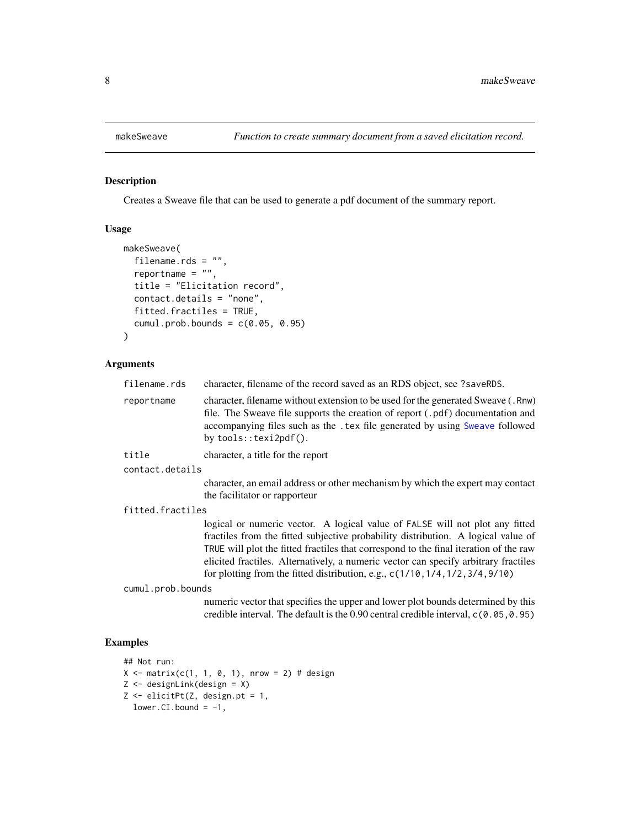<span id="page-7-1"></span><span id="page-7-0"></span>

Creates a Sweave file that can be used to generate a pdf document of the summary report.

#### Usage

```
makeSweave(
  filename.rds = "",
  reportname = ",
  title = "Elicitation record",
  contact.details = "none",
  fitted.fractiles = TRUE,
  cumul.prob.bounds = c(0.05, 0.95)\lambda
```
#### Arguments

| filename.rds      | character, filename of the record saved as an RDS object, see ?saveRDS.                                                                                                                                                                                                                                                                                                                                                              |
|-------------------|--------------------------------------------------------------------------------------------------------------------------------------------------------------------------------------------------------------------------------------------------------------------------------------------------------------------------------------------------------------------------------------------------------------------------------------|
| reportname        | character, filename without extension to be used for the generated Sweave (.Rnw)<br>file. The Sweave file supports the creation of report (.pdf) documentation and<br>accompanying files such as the . tex file generated by using Sweave followed<br>by $tools::text{2pdf}()$ .                                                                                                                                                     |
| title             | character, a title for the report                                                                                                                                                                                                                                                                                                                                                                                                    |
| contact.details   |                                                                                                                                                                                                                                                                                                                                                                                                                                      |
|                   | character, an email address or other mechanism by which the expert may contact<br>the facilitator or rapporteur                                                                                                                                                                                                                                                                                                                      |
| fitted.fractiles  |                                                                                                                                                                                                                                                                                                                                                                                                                                      |
|                   | logical or numeric vector. A logical value of FALSE will not plot any fitted<br>fractiles from the fitted subjective probability distribution. A logical value of<br>TRUE will plot the fitted fractiles that correspond to the final iteration of the raw<br>elicited fractiles. Alternatively, a numeric vector can specify arbitrary fractiles<br>for plotting from the fitted distribution, e.g., $c(1/10, 1/4, 1/2, 3/4, 9/10)$ |
| cumul.prob.bounds |                                                                                                                                                                                                                                                                                                                                                                                                                                      |
|                   | numeric vector that specifies the upper and lower plot bounds determined by this                                                                                                                                                                                                                                                                                                                                                     |

### credible interval. The default is the  $0.90$  central credible interval,  $c(0.05, 0.95)$

```
## Not run:
X \leftarrow matrix(c(1, 1, 0, 1), nrow = 2) # design
Z \leftarrow designLink(design = X)
Z <- elicitPt(Z, design.pt = 1,
  lower.CI.bound = -1,
```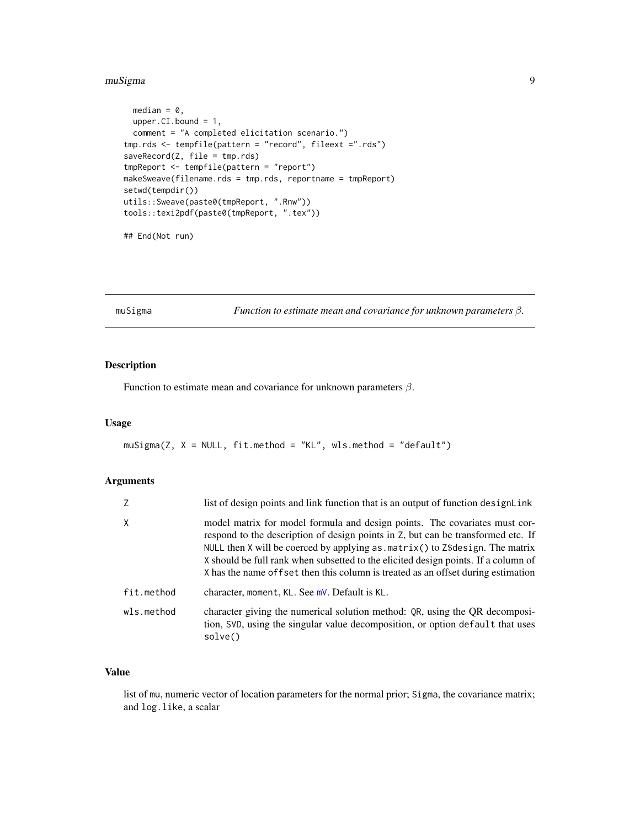#### <span id="page-8-0"></span>muSigma 9

```
median = \theta,
  upper.CI.bound = 1,
  comment = "A completed elicitation scenario.")
tmp.rds <- tempfile(pattern = "record", fileext =".rds")
saveRecord(Z, file = tmp.rds)tmpReport <- tempfile(pattern = "report")
makeSweave(filename.rds = tmp.rds, reportname = tmpReport)
setwd(tempdir())
utils::Sweave(paste0(tmpReport, ".Rnw"))
tools::texi2pdf(paste0(tmpReport, ".tex"))
```
## End(Not run)

<span id="page-8-1"></span>muSigma *Function to estimate mean and covariance for unknown parameters* β*.*

#### Description

Function to estimate mean and covariance for unknown parameters  $\beta$ .

#### Usage

 $musigma(Z, X = NULL, fit. method = "KL", wls.method = "default")$ 

#### Arguments

|              | list of design points and link function that is an output of function design Link                                                                                                                                                                                                                                                                                                                                             |
|--------------|-------------------------------------------------------------------------------------------------------------------------------------------------------------------------------------------------------------------------------------------------------------------------------------------------------------------------------------------------------------------------------------------------------------------------------|
| $\mathsf{X}$ | model matrix for model formula and design points. The covariates must cor-<br>respond to the description of design points in Z, but can be transformed etc. If<br>NULL then X will be coerced by applying as . matrix () to Z\$design. The matrix<br>X should be full rank when subsetted to the elicited design points. If a column of<br>X has the name of f set then this column is treated as an offset during estimation |
| fit.method   | character, moment, KL. See mV. Default is KL.                                                                                                                                                                                                                                                                                                                                                                                 |
| wls.method   | character giving the numerical solution method: QR, using the QR decomposi-<br>tion, SVD, using the singular value decomposition, or option default that uses<br>solve()                                                                                                                                                                                                                                                      |

#### Value

list of mu, numeric vector of location parameters for the normal prior; Sigma, the covariance matrix; and log.like, a scalar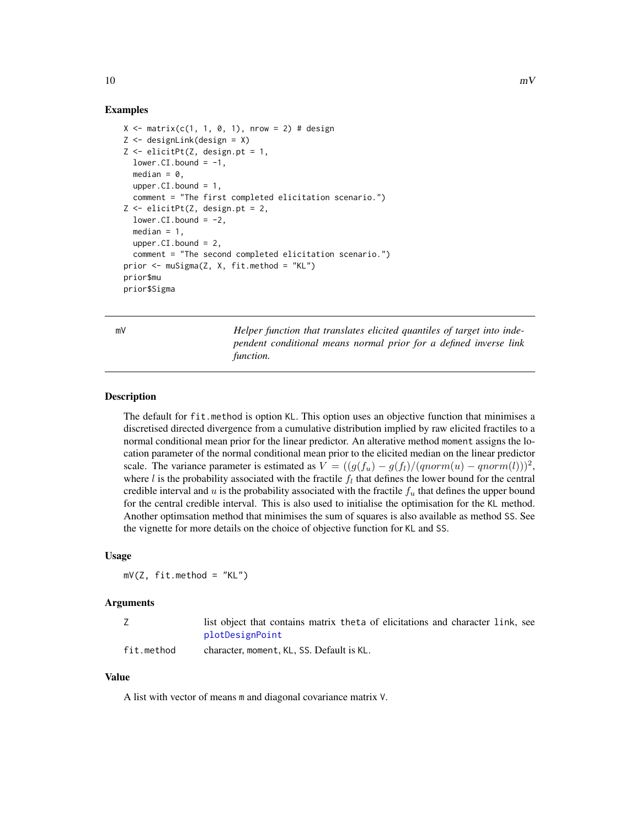#### Examples

```
X \le - matrix(c(1, 1, 0, 1), nrow = 2) # design
Z <- designLink(design = X)
Z \leq elicitPt(Z, design.pt = 1,
 lower.CI.bound = -1,median = 0,
 upper.CI.bound = 1,
 comment = "The first completed elicitation scenario.")
Z <- elicitPt(Z, design.pt = 2,
 lower.CI.bound = -2,median = 1,
 upper.CI.bound = 2,
 comment = "The second completed elicitation scenario.")
prior <- muSigma(Z, X, fit.method = "KL")
prior$mu
prior$Sigma
```
<span id="page-9-1"></span>mV *Helper function that translates elicited quantiles of target into independent conditional means normal prior for a defined inverse link function.*

#### Description

The default for fit.method is option KL. This option uses an objective function that minimises a discretised directed divergence from a cumulative distribution implied by raw elicited fractiles to a normal conditional mean prior for the linear predictor. An alterative method moment assigns the location parameter of the normal conditional mean prior to the elicited median on the linear predictor scale. The variance parameter is estimated as  $V = ((g(f_u) - g(f_l)/(qnorm(u) - qnorm(l)))^2$ , where  $l$  is the probability associated with the fractile  $f_l$  that defines the lower bound for the central credible interval and u is the probability associated with the fractile  $f_u$  that defines the upper bound for the central credible interval. This is also used to initialise the optimisation for the KL method. Another optimsation method that minimises the sum of squares is also available as method SS. See the vignette for more details on the choice of objective function for KL and SS.

#### Usage

 $mV(Z, fit.method = "KL")$ 

#### Arguments

|            | list object that contains matrix theta of elicitations and character link, see |
|------------|--------------------------------------------------------------------------------|
|            | plotDesignPoint                                                                |
| fit.method | character, moment, KL, SS, Default is KL.                                      |

#### Value

A list with vector of means m and diagonal covariance matrix V.

<span id="page-9-0"></span>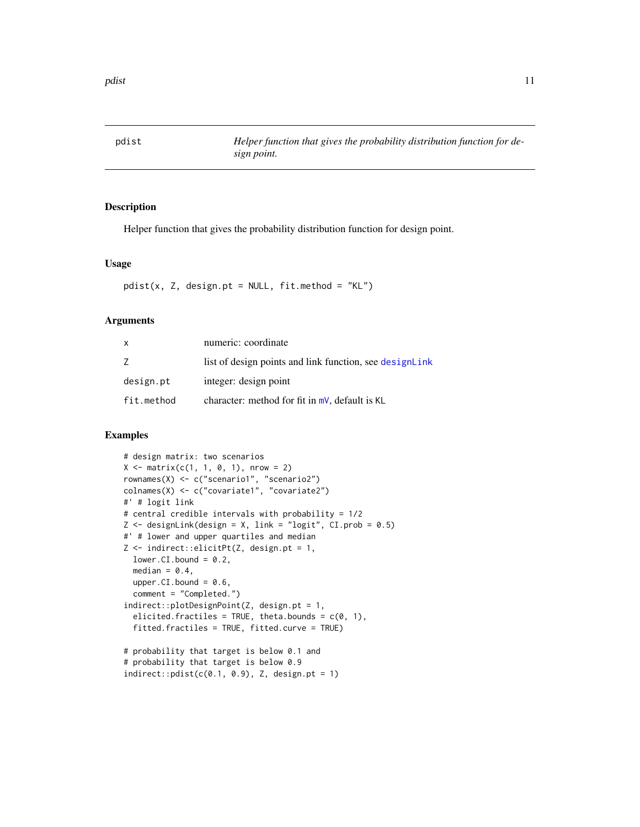<span id="page-10-0"></span>

Helper function that gives the probability distribution function for design point.

#### Usage

 $pdist(x, Z, design.pt = NULL, fit. method = "KL")$ 

#### Arguments

| $\mathsf{x}$ | numeric: coordinate                                     |
|--------------|---------------------------------------------------------|
|              | list of design points and link function, see designLink |
| design.pt    | integer: design point                                   |
| fit.method   | character: method for fit in $mV$ , default is KL       |

```
# design matrix: two scenarios
X \leq - matrix(c(1, 1, 0, 1), nrow = 2)
rownames(X) <- c("scenario1", "scenario2")
colnames(X) <- c("covariate1", "covariate2")
#' # logit link
# central credible intervals with probability = 1/2
Z \leq - designLink(design = X, link = "logit", CI.prob = 0.5)
#' # lower and upper quartiles and median
Z <- indirect::elicitPt(Z, design.pt = 1,
  lower.CI.bound = 0.2,median = 0.4,
  upper.CI.bound = 0.6,
  comment = "Completed.")
indirect::plotDesignPoint(Z, design.pt = 1,
  elicited.fractiles = TRUE, theta.bounds = c(\theta, 1),
  fitted.fractiles = TRUE, fitted.curve = TRUE)
# probability that target is below 0.1 and
# probability that target is below 0.9
indirect::pdist(c(0.1, 0.9), Z, design.pt = 1)
```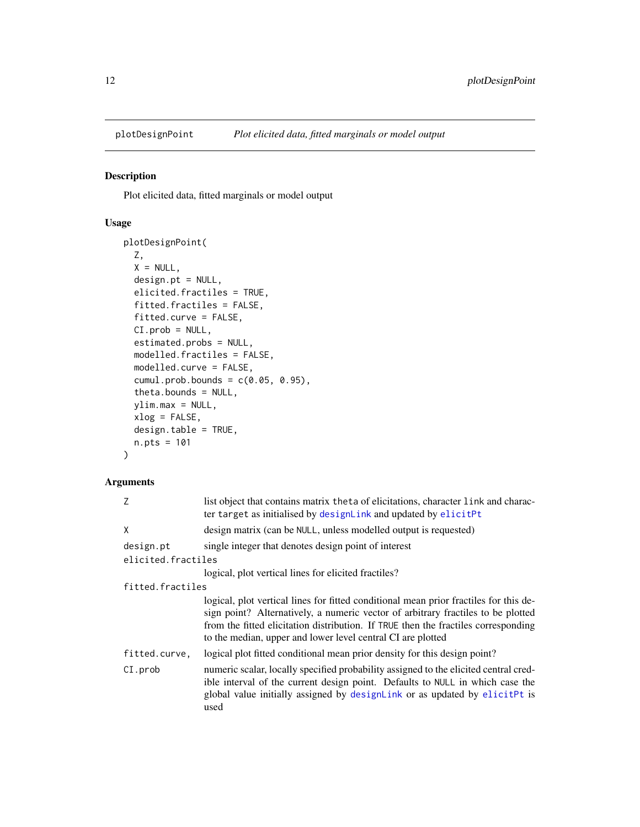<span id="page-11-1"></span><span id="page-11-0"></span>

Plot elicited data, fitted marginals or model output

#### Usage

```
plotDesignPoint(
  Z,
 X = NULL,design.pt = NULL,
  elicited.fractiles = TRUE,
  fitted.fractiles = FALSE,
  fitted.curve = FALSE,
  CI.prob = NULL,
  estimated.probs = NULL,
 modelled.fractiles = FALSE,
 modelled.curve = FALSE,
  cumul.prob.bounds = c(0.05, 0.95),
  theta.bounds = NULL,
  ylim.max = NULL,
  xlog = FALSE,
  design.table = TRUE,
  n.pts = 101
)
```
#### Arguments

| Z                  | list object that contains matrix theta of elicitations, character link and charac-<br>ter target as initialised by designLink and updated by elicitPt                                                                                                                                                                          |  |  |  |
|--------------------|--------------------------------------------------------------------------------------------------------------------------------------------------------------------------------------------------------------------------------------------------------------------------------------------------------------------------------|--|--|--|
| X                  | design matrix (can be NULL, unless modelled output is requested)                                                                                                                                                                                                                                                               |  |  |  |
| design.pt          | single integer that denotes design point of interest                                                                                                                                                                                                                                                                           |  |  |  |
| elicited.fractiles |                                                                                                                                                                                                                                                                                                                                |  |  |  |
|                    | logical, plot vertical lines for elicited fractiles?                                                                                                                                                                                                                                                                           |  |  |  |
| fitted fractiles   |                                                                                                                                                                                                                                                                                                                                |  |  |  |
|                    | logical, plot vertical lines for fitted conditional mean prior fractiles for this de-<br>sign point? Alternatively, a numeric vector of arbitrary fractiles to be plotted<br>from the fitted elicitation distribution. If TRUE then the fractiles corresponding<br>to the median, upper and lower level central CI are plotted |  |  |  |
| fitted.curve,      | logical plot fitted conditional mean prior density for this design point?                                                                                                                                                                                                                                                      |  |  |  |
| CI. prob           | numeric scalar, locally specified probability assigned to the elicited central cred-<br>ible interval of the current design point. Defaults to NULL in which case the<br>global value initially assigned by designLink or as updated by elicitPt is<br>used                                                                    |  |  |  |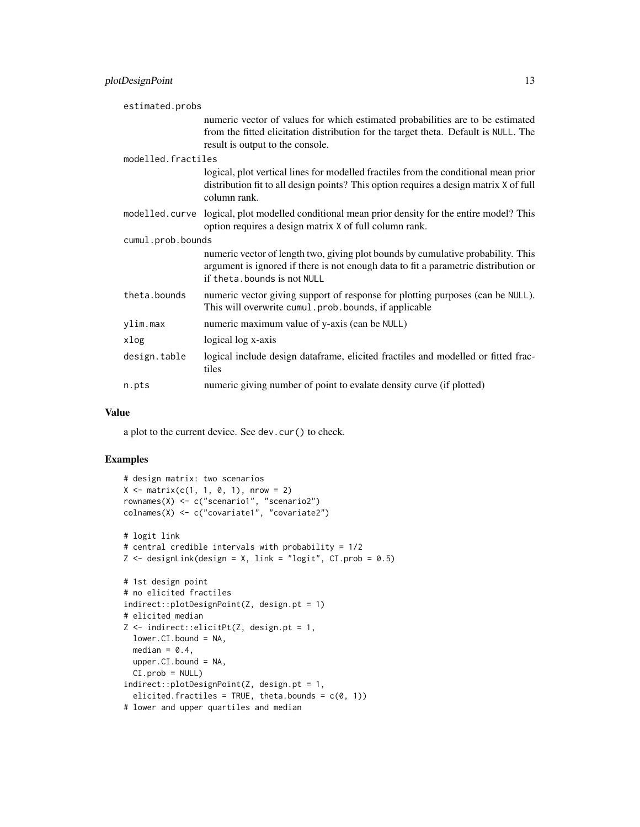| estimated.probs    |              |                                                                                                                                                                                                           |
|--------------------|--------------|-----------------------------------------------------------------------------------------------------------------------------------------------------------------------------------------------------------|
|                    |              | numeric vector of values for which estimated probabilities are to be estimated<br>from the fitted elicitation distribution for the target theta. Default is NULL. The<br>result is output to the console. |
| modelled.fractiles |              |                                                                                                                                                                                                           |
|                    |              | logical, plot vertical lines for modelled fractiles from the conditional mean prior<br>distribution fit to all design points? This option requires a design matrix X of full<br>column rank.              |
|                    |              | modelled.curve logical, plot modelled conditional mean prior density for the entire model? This<br>option requires a design matrix X of full column rank.                                                 |
| cumul.prob.bounds  |              |                                                                                                                                                                                                           |
|                    |              | numeric vector of length two, giving plot bounds by cumulative probability. This<br>argument is ignored if there is not enough data to fit a parametric distribution or<br>if theta. bounds is not NULL   |
|                    | theta.bounds | numeric vector giving support of response for plotting purposes (can be NULL).<br>This will overwrite cumul.prob.bounds, if applicable                                                                    |
|                    | ylim.max     | numeric maximum value of y-axis (can be NULL)                                                                                                                                                             |
|                    | xlog         | logical log x-axis                                                                                                                                                                                        |
|                    | design.table | logical include design dataframe, elicited fractiles and modelled or fitted frac-<br>tiles                                                                                                                |
|                    | n.pts        | numeric giving number of point to evalate density curve (if plotted)                                                                                                                                      |

#### Value

a plot to the current device. See dev.cur() to check.

```
# design matrix: two scenarios
X \le - matrix(c(1, 1, 0, 1), nrow = 2)
rownames(X) <- c("scenario1", "scenario2")
colnames(X) <- c("covariate1", "covariate2")
# logit link
# central credible intervals with probability = 1/2
Z \leq - designLink(design = X, link = "logit", CI.prob = 0.5)
# 1st design point
# no elicited fractiles
indirect::plotDesignPoint(Z, design.pt = 1)
# elicited median
Z <- indirect::elicitPt(Z, design.pt = 1,
 lower.CI.bound = NA,
  median = 0.4,
  upper.CI.bound = NA,
  CI.prob = NULL)
indirect::plotDesignPoint(Z, design.pt = 1,
  elicited.fractiles = TRUE, theta.bounds = c(\theta, 1))
# lower and upper quartiles and median
```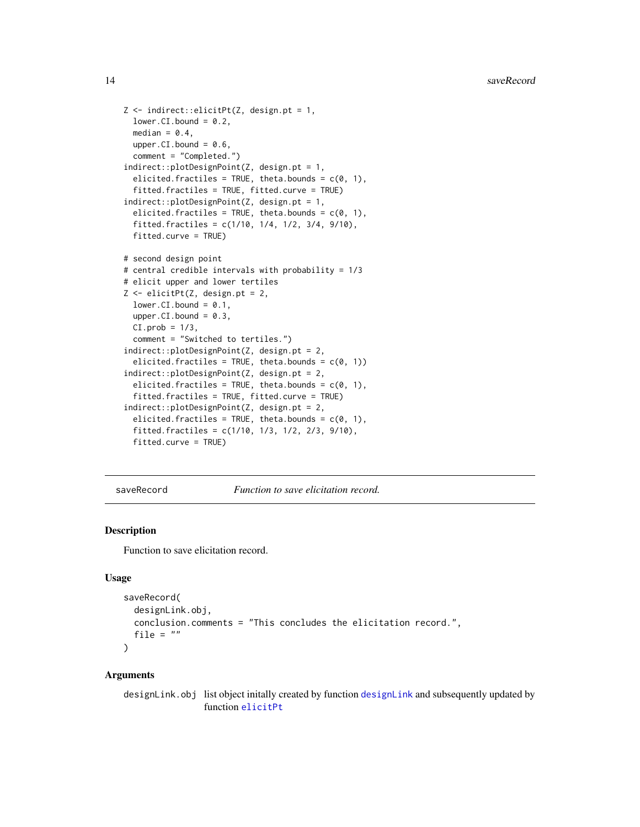```
Z <- indirect::elicitPt(Z, design.pt = 1,
 lower.CI.bound = 0.2,median = 0.4,
 upper.CI.bound = 0.6,
 comment = "Completed.")
indirect::plotDesignPoint(Z, design.pt = 1,
 elicited.fractiles = TRUE, theta.bounds = c(0, 1),
 fitted.fractiles = TRUE, fitted.curve = TRUE)
indirect::plotDesignPoint(Z, design.pt = 1,
 elicited.fractiles = TRUE, theta.bounds = c(0, 1),
 fitted.fractiles = c(1/10, 1/4, 1/2, 3/4, 9/10),
 fitted.curve = TRUE)
# second design point
# central credible intervals with probability = 1/3
# elicit upper and lower tertiles
Z <- elicitPt(Z, design.pt = 2,
 lower.CI.bound = 0.1,upper.CI.bound = 0.3,
 CI.prob = 1/3,
 comment = "Switched to tertiles.")
indirect::plotDesignPoint(Z, design.pt = 2,
 elicited.fractiles = TRUE, theta.bounds = c(\theta, 1))
indirect::plotDesignPoint(Z, design.pt = 2,
 elicited.fractiles = TRUE, theta.bounds = c(\emptyset, 1),
 fitted.fractiles = TRUE, fitted.curve = TRUE)
indirect::plotDesignPoint(Z, design.pt = 2,
 elicited.fractiles = TRUE, theta.bounds = c(\emptyset, 1),
 fitted.fractiles = c(1/10, 1/3, 1/2, 2/3, 9/10),
 fitted.curve = TRUE)
```
<span id="page-13-1"></span>saveRecord *Function to save elicitation record.*

#### Description

Function to save elicitation record.

#### Usage

```
saveRecord(
  designLink.obj,
  conclusion.comments = "This concludes the elicitation record.",
 file = "\lambda
```
#### Arguments

[designLink](#page-2-1).obj list object initally created by function designLink and subsequently updated by function [elicitPt](#page-5-1)

<span id="page-13-0"></span>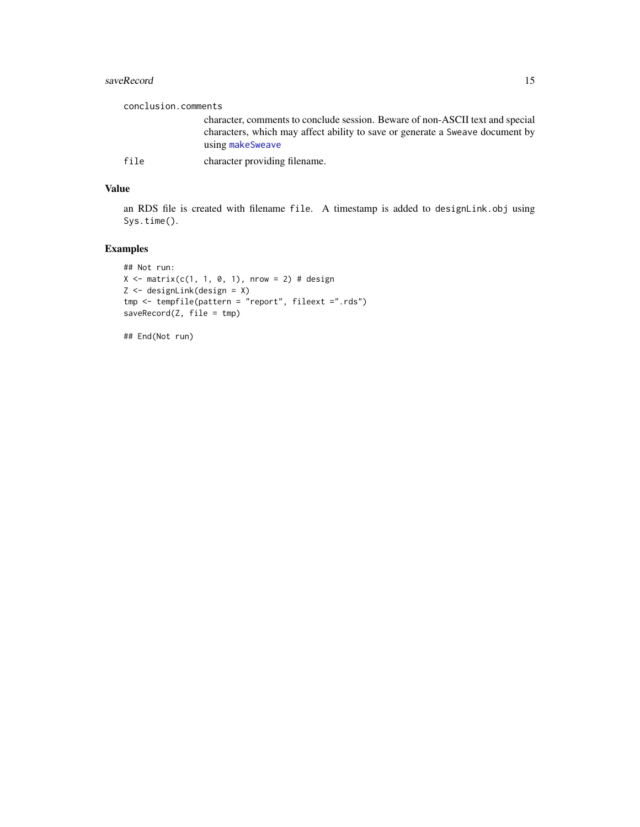#### <span id="page-14-0"></span>saveRecord 15

|      | conclusion.comments                                                                                                                                                                |  |
|------|------------------------------------------------------------------------------------------------------------------------------------------------------------------------------------|--|
|      | character, comments to conclude session. Beware of non-ASCII text and special<br>characters, which may affect ability to save or generate a Sweave document by<br>using makeSweave |  |
| file | character providing filename.                                                                                                                                                      |  |

#### Value

an RDS file is created with filename file. A timestamp is added to designLink.obj using Sys.time().

#### Examples

```
## Not run:
X \le - matrix(c(1, 1, 0, 1), nrow = 2) # design
Z <- designLink(design = X)
tmp <- tempfile(pattern = "report", fileext =".rds")
saveRecord(Z, file = tmp)
```
## End(Not run)